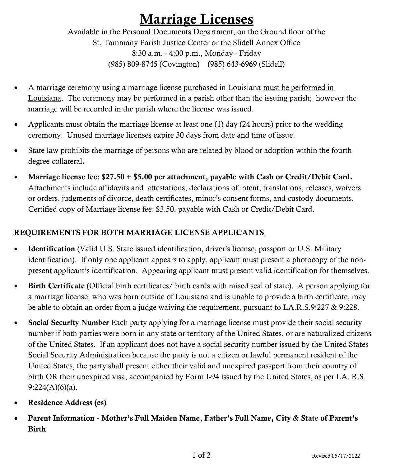# Marriage Licenses

Available in the Personal Documents Department, on the Ground floor of the St. Tammany Parish Justice Center or the Slidell Annex Office 8:30 a.m. - 4:00 p.m., Monday - Friday (985) 809-8745 (Covington) (985) 643-6969 (Slidell)

- A marriage ceremony using a marriage license purchased in Louisiana must be performed in Louisiana. The ceremony may be performed in a parish other than the issuing parish; however the marriage will be recorded in the parish where the license was issued.
- Applicants must obtain the marriage license at least one (1) day (24 hours) prior to the wedding ceremony. Unused marriage licenses expire 30 days from date and time of issue.
- State law prohibits the marriage of persons who are related by blood or adoption within the fourth degree collateral.
- Marriage license fee: \$27.50 + \$5.00 per attachment, payable with Cash or Credit/Debit Card. Attachments include affidavits and attestations, declarations of intent, translations, releases, waivers or orders, judgments of divorce, death certificates, minor's consent forms, and custody documents. Certified copy of Marriage license fee: \$3.50, payable with Cash or Credit/Debit Card.

## REQUIREMENTS FOR BOTH MARRIAGE LICENSE APPLICANTS

- Identification (Valid U.S. State issued identification, driver's license, passport or U.S. Military identification). If only one applicant appears to apply, applicant must present a photocopy of the nonpresent applicant's identification. Appearing applicant must present valid identification for themselves.
- Birth Certificate (Official birth certificates/ birth cards with raised seal of state). A person applying for a marriage license, who was born outside of Louisiana and is unable to provide a birth certificate, may be able to obtain an order from a judge waiving the requirement, pursuant to LA.R.S.9:227 & 9:228.
- Social Security Number Each party applying for a marriage license must provide their social security number if both parties were born in any state or territory of the United States, or are naturalized citizens of the United States. If an applicant does not have a social security number issued by the United States Social Security Administration because the party is not a citizen or lawful permanent resident of the United States, the party shall present either their valid and unexpired passport from their country of birth OR their unexpired visa, accompanied by Form I-94 issued by the United States, as per LA. R.S. 9:224(A)(6)(a).
- Residence Address (es)
- Parent Information Mother's Full Maiden Name, Father's Full Name, City & State of Parent's Birth